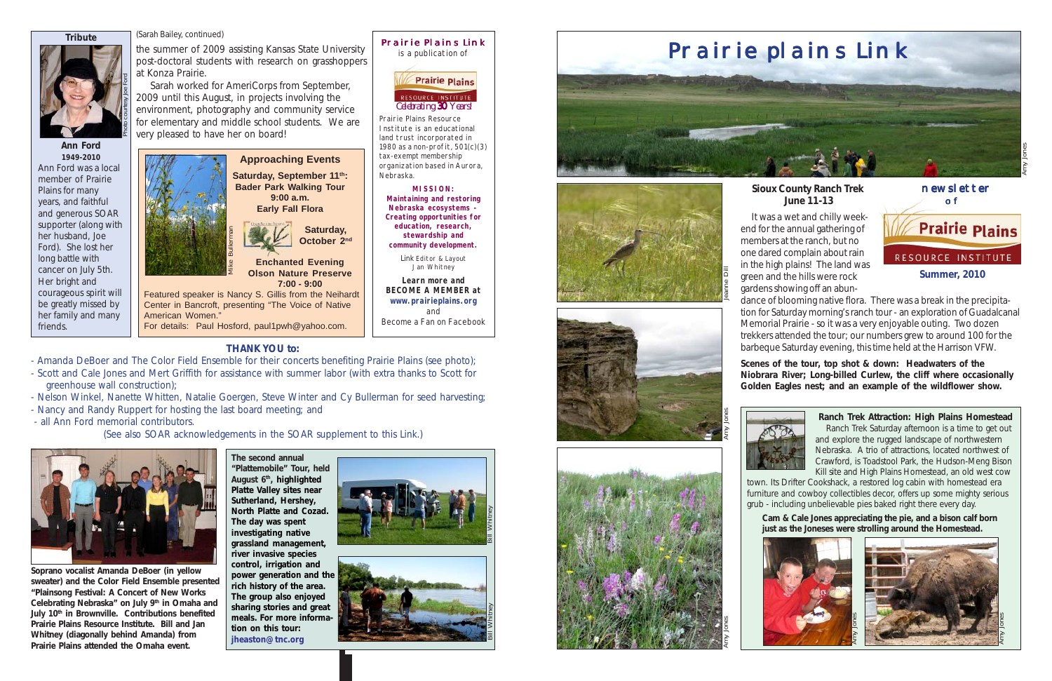Saturday, September 11<sup>th</sup>: **Bader Park Walking Tour 9:00 a.m. Early Fall Flora**

> **Saturday, October 2nd**

**Enchanted Evening Olson Nature Preserve 7:00 - 9:00**

Featured speaker is Nancy S. Gillis from the Neihardt Center in Bancroft, presenting "The Voice of Native American Women." For details: Paul Hosford, paul1pwh@yahoo.com.



Prairie Plains Link is a publication of

Prairie Plains Resource Institute is an educational land trust incorporated in 1980 as a non-profit, 501(c)(3) tax-exempt membership organization based in Aurora,

Nebraska.



**MISSION: Maintaining and restoring Nebraska ecosystems - Creating opportunities for education, research, stewardship and community development.** *Link* Editor & Layout Jan Whitney **Learn more and BECOME A MEMBER at www.prairieplains.org** and Become a Fan on Facebook

*Celebrating 30 Years! 30*

RESOURCE INSTITUTE

**Prairie Plains** 

**Ranch Trek Attraction: High Plains Homestead** Ranch Trek Saturday afternoon is a time to get out and explore the rugged landscape of northwestern Nebraska. A trio of attractions, located northwest of Crawford, is Toadstool Park, the Hudson-Meng Bison Kill site and High Plains Homestead, an old west cow

town. Its Drifter Cookshack, a restored log cabin with homestead era furniture and cowboy collectibles decor, offers up some mighty serious grub - including unbelievable pies baked right there every day.



#### **Sioux County Ranch Trek June 11-13**





 It was a wet and chilly weekend for the annual gathering of members at the ranch, but no one dared complain about rain in the high plains! The land was green and the hills were rock gardens showing off an abun-

dance of blooming native flora. There was a break in the precipitation for Saturday morning's ranch tour - an exploration of Guadalcanal Memorial Prairie - so it was a very enjoyable outing. Two dozen trekkers attended the tour; our numbers grew to around 100 for the barbeque Saturday evening, this time held at the Harrison VFW.

**Scenes of the tour, top shot & down: Headwaters of the Niobrara River; Long-billed Curlew, the cliff where occasionally Golden Eagles nest; and an example of the wildflower show.**



Amy Jones







the summer of 2009 assisting Kansas State University post-doctoral students with research on grasshoppers at Konza Prairie.

 Sarah worked for AmeriCorps from September, 2009 until this August, in projects involving the environment, photography and community service for elementary and middle school students. We are very pleased to have her on board!

(Sarah Bailey, continued)





**Ann Ford 1949-2010** Ann Ford was a local member of Prairie Plains for many years, and faithful and generous SOAR supporter (along with her husband, Joe Ford). She lost her long battle with cancer on July 5th. Her bright and courageous spirit will be greatly missed by her family and many friends.

**Tribute**



**THANK YOU to:**

- Amanda DeBoer and The Color Field Ensemble for their concerts benefiting Prairie Plains (see photo);
- Scott and Cale Jones and Mert Griffith for assistance with summer labor (with extra thanks to Scott for greenhouse wall construction);
- Nelson Winkel, Nanette Whitten, Natalie Goergen, Steve Winter and Cy Bullerman for seed harvesting;
- Nancy and Randy Ruppert for hosting the last board meeting; and
- all Ann Ford memorial contributors.

(See also SOAR acknowledgements in the SOAR supplement to this *Link*.)



**Soprano vocalist Amanda DeBoer (in yellow sweater) and the Color Field Ensemble presented "Plainsong Festival: A Concert of New Works Celebrating Nebraska" on July 9th in Omaha and July 10th in Brownville. Contributions benefited Prairie Plains Resource Institute. Bill and Jan Whitney (diagonally behind Amanda) from Prairie Plains attended the Omaha event.**

**The second annual "Plattemobile" Tour, held August 6th, highlighted Platte Valley sites near Sutherland, Hershey, North Platte and Cozad. The day was spent investigating native grassland management, river invasive species control, irrigation and power generation and the rich history of the area. The group also enjoyed sharing stories and great meals. For more information on this tour: jheaston@tnc.org**

**Cam & Cale Jones appreciating the pie, and a bison calf born just as the Joneses were strolling around the Homestead.**